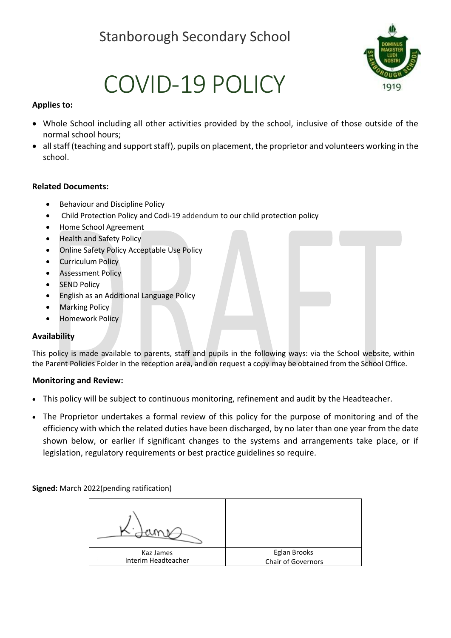# Stanborough Secondary School



# COVID-19 POLICY

#### **Applies to:**

- Whole School including all other activities provided by the school, inclusive of those outside of the normal school hours;
- all staff (teaching and support staff), pupils on placement, the proprietor and volunteers working in the school.

#### **Related Documents:**

- Behaviour and Discipline Policy
- Child Protection Policy and Codi-19 addendum to our child protection policy
- Home School Agreement
- Health and Safety Policy
- Online Safety Policy Acceptable Use Policy
- Curriculum Policy
- Assessment Policy
- **SEND Policy**
- English as an Additional Language Policy
- **Marking Policy**
- Homework Policy

#### **Availability**

This policy is made available to parents, staff and pupils in the following ways: via the School website, within the Parent Policies Folder in the reception area, and on request a copy may be obtained from the School Office.

#### **Monitoring and Review:**

- This policy will be subject to continuous monitoring, refinement and audit by the Headteacher.
- The Proprietor undertakes a formal review of this policy for the purpose of monitoring and of the efficiency with which the related duties have been discharged, by no later than one year from the date shown below, or earlier if significant changes to the systems and arrangements take place, or if legislation, regulatory requirements or best practice guidelines so require.

**Signed:** March 2022(pending ratification)

| Kaz James           | Eglan Brooks       |
|---------------------|--------------------|
| Interim Headteacher | Chair of Governors |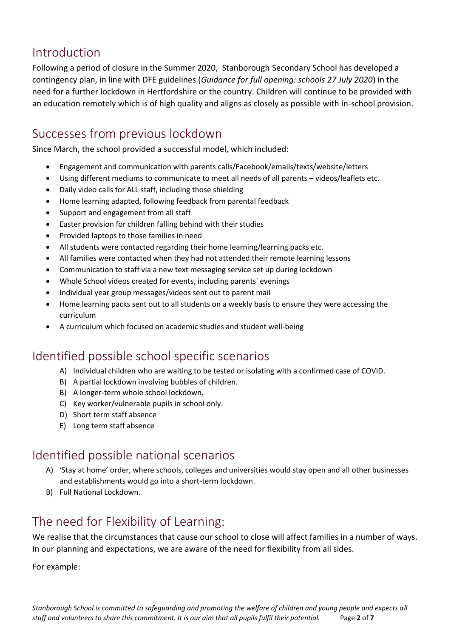## Introduction

Following a period of closure in the Summer 2020, Stanborough Secondary School has developed a contingency plan, in line with DFE guidelines (*Guidance for full opening: schools 27 July 2020*) in the need for a further lockdown in Hertfordshire or the country. Children will continue to be provided with an education remotely which is of high quality and aligns as closely as possible with in-school provision.

## Successes from previous lockdown

Since March, the school provided a successful model, which included:

- Engagement and communication with parents calls/Facebook/emails/texts/website/letters
- Using different mediums to communicate to meet all needs of all parents videos/leaflets etc.
- Daily video calls for ALL staff, including those shielding
- Home learning adapted, following feedback from parental feedback
- Support and engagement from all staff
- Easter provision for children falling behind with their studies
- Provided laptops to those families in need
- All students were contacted regarding their home learning/learning packs etc.
- All families were contacted when they had not attended their remote learning lessons
- Communication to staff via a new text messaging service set up during lockdown
- Whole School videos created for events, including parents' evenings
- Individual year group messages/videos sent out to parent mail
- Home learning packs sent out to all students on a weekly basis to ensure they were accessing the curriculum
- A curriculum which focused on academic studies and student well-being

## Identified possible school specific scenarios

- A) Individual children who are waiting to be tested or isolating with a confirmed case of COVID.
- B) A partial lockdown involving bubbles of children.
- B) A longer-term whole school lockdown.
- C) Key worker/vulnerable pupils in school only.
- D) Short term staff absence
- E) Long term staff absence

## Identified possible national scenarios

- A) 'Stay at home' order, where schools, colleges and universities would stay open and all other businesses and establishments would go into a short-term lockdown.
- B) Full National Lockdown.

## The need for Flexibility of Learning:

We realise that the circumstances that cause our school to close will affect families in a number of ways. In our planning and expectations, we are aware of the need for flexibility from all sides.

For example: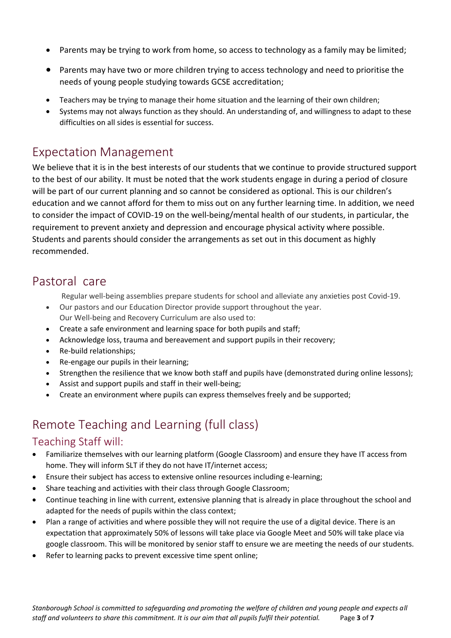- Parents may be trying to work from home, so access to technology as a family may be limited;
- Parents may have two or more children trying to access technology and need to prioritise the needs of young people studying towards GCSE accreditation;
- Teachers may be trying to manage their home situation and the learning of their own children;
- Systems may not always function as they should. An understanding of, and willingness to adapt to these difficulties on all sides is essential for success.

## Expectation Management

We believe that it is in the best interests of our students that we continue to provide structured support to the best of our ability. It must be noted that the work students engage in during a period of closure will be part of our current planning and so cannot be considered as optional. This is our children's education and we cannot afford for them to miss out on any further learning time. In addition, we need to consider the impact of COVID-19 on the well-being/mental health of our students, in particular, the requirement to prevent anxiety and depression and encourage physical activity where possible. Students and parents should consider the arrangements as set out in this document as highly recommended.

## Pastoral care

Regular well-being assemblies prepare students for school and alleviate any anxieties post Covid-19.

- Our pastors and our Education Director provide support throughout the year. Our Well-being and Recovery Curriculum are also used to:
- Create a safe environment and learning space for both pupils and staff;
- Acknowledge loss, trauma and bereavement and support pupils in their recovery;
- Re-build relationships;
- Re-engage our pupils in their learning;
- Strengthen the resilience that we know both staff and pupils have (demonstrated during online lessons);
- Assist and support pupils and staff in their well-being;
- Create an environment where pupils can express themselves freely and be supported;

## Remote Teaching and Learning (full class)

#### Teaching Staff will:

- Familiarize themselves with our learning platform (Google Classroom) and ensure they have IT access from home. They will inform SLT if they do not have IT/internet access;
- Ensure their subject has access to extensive online resources including e-learning;
- Share teaching and activities with their class through Google Classroom;
- Continue teaching in line with current, extensive planning that is already in place throughout the school and adapted for the needs of pupils within the class context;
- Plan a range of activities and where possible they will not require the use of a digital device. There is an expectation that approximately 50% of lessons will take place via Google Meet and 50% will take place via google classroom. This will be monitored by senior staff to ensure we are meeting the needs of our students.
- Refer to learning packs to prevent excessive time spent online;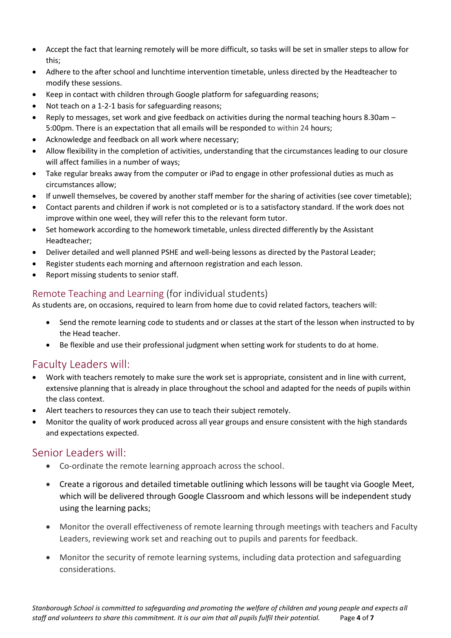- Accept the fact that learning remotely will be more difficult, so tasks will be set in smaller steps to allow for this;
- Adhere to the after school and lunchtime intervention timetable, unless directed by the Headteacher to modify these sessions.
- Keep in contact with children through Google platform for safeguarding reasons;
- Not teach on a 1-2-1 basis for safeguarding reasons;
- Reply to messages, set work and give feedback on activities during the normal teaching hours 8.30am 5:00pm. There is an expectation that all emails will be responded to within 24 hours;
- Acknowledge and feedback on all work where necessary;
- Allow flexibility in the completion of activities, understanding that the circumstances leading to our closure will affect families in a number of ways;
- Take regular breaks away from the computer or iPad to engage in other professional duties as much as circumstances allow;
- If unwell themselves, be covered by another staff member for the sharing of activities (see cover timetable);
- Contact parents and children if work is not completed or is to a satisfactory standard. If the work does not improve within one weel, they will refer this to the relevant form tutor.
- Set homework according to the homework timetable, unless directed differently by the Assistant Headteacher;
- Deliver detailed and well planned PSHE and well-being lessons as directed by the Pastoral Leader;
- Register students each morning and afternoon registration and each lesson.
- Report missing students to senior staff.

#### Remote Teaching and Learning (for individual students)

As students are, on occasions, required to learn from home due to covid related factors, teachers will:

- Send the remote learning code to students and or classes at the start of the lesson when instructed to by the Head teacher.
- Be flexible and use their professional judgment when setting work for students to do at home.

## Faculty Leaders will:

- Work with teachers remotely to make sure the work set is appropriate, consistent and in line with current, extensive planning that is already in place throughout the school and adapted for the needs of pupils within the class context.
- Alert teachers to resources they can use to teach their subject remotely.
- Monitor the quality of work produced across all year groups and ensure consistent with the high standards and expectations expected.

#### Senior Leaders will:

- Co-ordinate the remote learning approach across the school.
- Create a rigorous and detailed timetable outlining which lessons will be taught via Google Meet, which will be delivered through Google Classroom and which lessons will be independent study using the learning packs;
- Monitor the overall effectiveness of remote learning through meetings with teachers and Faculty Leaders, reviewing work set and reaching out to pupils and parents for feedback.
- Monitor the security of remote learning systems, including data protection and safeguarding considerations.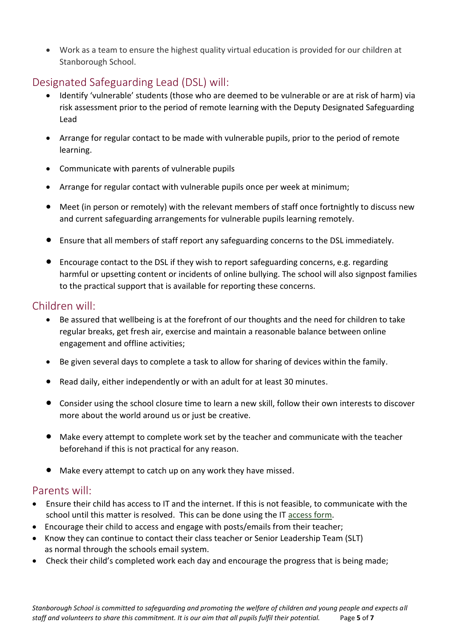• Work as a team to ensure the highest quality virtual education is provided for our children at Stanborough School.

## Designated Safeguarding Lead (DSL) will:

- Identify 'vulnerable' students (those who are deemed to be vulnerable or are at risk of harm) via risk assessment prior to the period of remote learning with the Deputy Designated Safeguarding Lead
- Arrange for regular contact to be made with vulnerable pupils, prior to the period of remote learning.
- Communicate with parents of vulnerable pupils
- Arrange for regular contact with vulnerable pupils once per week at minimum;
- Meet (in person or remotely) with the relevant members of staff once fortnightly to discuss new and current safeguarding arrangements for vulnerable pupils learning remotely.
- Ensure that all members of staff report any safeguarding concerns to the DSL immediately.
- Encourage contact to the DSL if they wish to report safeguarding concerns, e.g. regarding harmful or upsetting content or incidents of online bullying. The school will also signpost families to the practical support that is available for reporting these concerns.

### Children will:

- Be assured that wellbeing is at the forefront of our thoughts and the need for children to take regular breaks, get fresh air, exercise and maintain a reasonable balance between online engagement and offline activities;
- Be given several days to complete a task to allow for sharing of devices within the family.
- Read daily, either independently or with an adult for at least 30 minutes.
- Consider using the school closure time to learn a new skill, follow their own interests to discover more about the world around us or just be creative.
- Make every attempt to complete work set by the teacher and communicate with the teacher beforehand if this is not practical for any reason.
- Make every attempt to catch up on any work they have missed.

#### Parents will:

- Ensure their child has access to IT and the internet. If this is not feasible, to communicate with the school until this matter is resolved. This can be done using the IT [access form.](http://www.spsch.org/requestsupport/)
- Encourage their child to access and engage with posts/emails from their teacher;
- Know they can continue to contact their class teacher or Senior Leadership Team (SLT) as normal through the schools email system.
- Check their child's completed work each day and encourage the progress that is being made;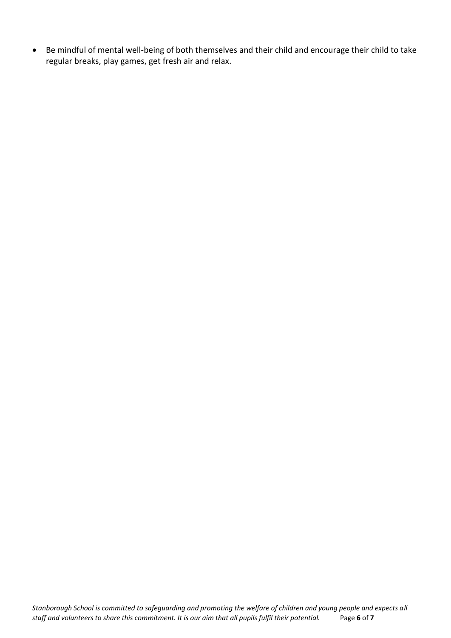• Be mindful of mental well-being of both themselves and their child and encourage their child to take regular breaks, play games, get fresh air and relax.